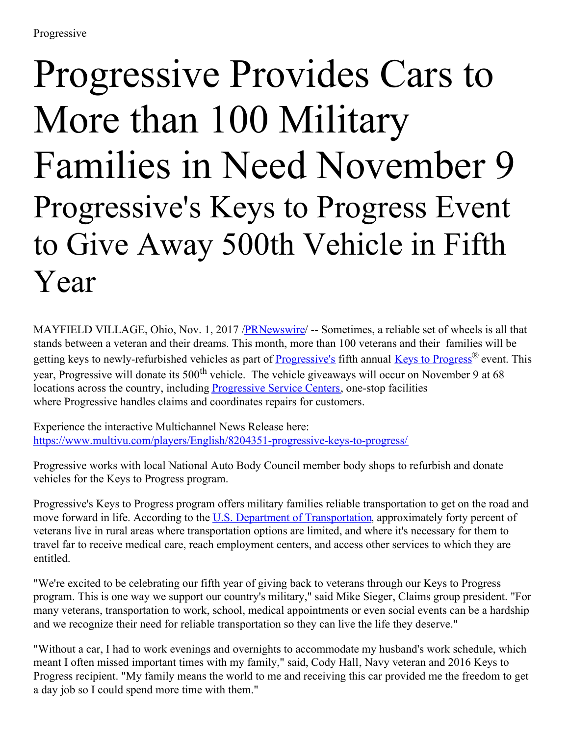## Progressive Provides Cars to More than 100 Military Families in Need November 9 Progressive's Keys to Progress Event to Give Away 500th Vehicle in Fifth Year

MAYFIELD VILLAGE, Ohio, Nov. 1, 2017 [/PRNewswire](http://www.prnewswire.com/)/ -- Sometimes, a reliable set of wheels is all that stands between a veteran and their dreams. This month, more than 100 veterans and their families will be getting keys to newly-refurbished vehicles as part of **[Progressive's](https://www.progressive.com/)** fifth annual Keys to [Progress](https://www.progressive.com/socialresponsibility/keys-to-progress.html)<sup>®</sup> event. This year, Progressive will donate its 500<sup>th</sup> vehicle. The vehicle giveaways will occur on November 9 at 68 locations across the country, including [Progressive](https://www.progressive.com/claims/service-center-virtual-tour/) Service Centers, one-stop facilities where Progressive handles claims and coordinates repairs for customers.

Experience the interactive Multichannel News Release here: <https://www.multivu.com/players/English/8204351-progressive-keys-to-progress/>

Progressive works with local National Auto Body Council member body shops to refurbish and donate vehicles for the Keys to Progress program.

Progressive's Keys to Progress program offers military families reliable transportation to get on the road and move forward in life. According to the U.S. Department of [Transportation](https://www.transportation.gov/careers/veterans-transportation-and-community-living-initiative), approximately forty percent of veterans live in rural areas where transportation options are limited, and where it's necessary for them to travel far to receive medical care, reach employment centers, and access other services to which they are entitled.

"We're excited to be celebrating our fifth year of giving back to veterans through our Keys to Progress program. This is one way we support our country's military," said Mike Sieger, Claims group president. "For many veterans, transportation to work, school, medical appointments or even social events can be a hardship and we recognize their need for reliable transportation so they can live the life they deserve."

"Without a car, I had to work evenings and overnights to accommodate my husband's work schedule, which meant I often missed important times with my family," said, Cody Hall, Navy veteran and 2016 Keys to Progress recipient. "My family means the world to me and receiving this car provided me the freedom to get a day job so I could spend more time with them."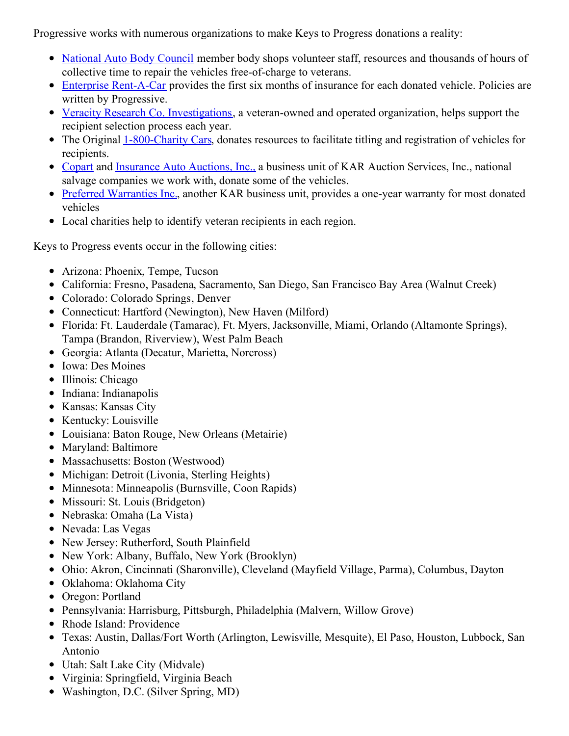Progressive works with numerous organizations to make Keys to Progress donations a reality:

- [National](http://www.nationalautobodycouncil.org/) Auto Body Council member body shops volunteer staff, resources and thousands of hours of collective time to repair the vehicles free-of-charge to veterans.
- Enterprise [Rent-A-Car](http://aboutus.enterprise.com/) provides the first six months of insurance for each donated vehicle. Policies are written by Progressive.
- Veracity Research Co. [Investigations](https://www.vrcinvestigations.com/), a veteran-owned and operated organization, helps support the recipient selection process each year.
- The Original [1-800-Charity](http://www.800charitycars.org/) Cars, donates resources to facilitate titling and registration of vehicles for recipients.
- [Copart](http://www.copart.com/c2/copart_home_page.html) and [Insurance](https://iaa-auctions.com/) Auto Auctions, Inc., a business unit of KAR Auction Services, Inc., national salvage companies we work with, donate some of the vehicles.
- Preferred [Warranties](https://www.warrantys.com/) Inc., another KAR business unit, provides a one-year warranty for most donated vehicles
- Local charities help to identify veteran recipients in each region.

Keys to Progress events occur in the following cities:

- Arizona: Phoenix, Tempe, Tucson
- California: Fresno, Pasadena, Sacramento, San Diego, San Francisco Bay Area (Walnut Creek)
- Colorado: Colorado Springs, Denver
- Connecticut: Hartford (Newington), New Haven (Milford)
- Florida: Ft. Lauderdale (Tamarac), Ft. Myers, Jacksonville, Miami, Orlando (Altamonte Springs), Tampa (Brandon, Riverview), West Palm Beach
- Georgia: Atlanta (Decatur, Marietta, Norcross)
- Iowa: Des Moines
- Illinois: Chicago
- Indiana: Indianapolis
- Kansas: Kansas City
- Kentucky: Louisville
- Louisiana: Baton Rouge, New Orleans (Metairie)
- Maryland: Baltimore
- Massachusetts: Boston (Westwood)
- Michigan: Detroit (Livonia, Sterling Heights)
- Minnesota: Minneapolis (Burnsville, Coon Rapids)
- Missouri: St. Louis (Bridgeton)
- Nebraska: Omaha (La Vista)
- Nevada: Las Vegas
- New Jersey: Rutherford, South Plainfield
- New York: Albany, Buffalo, New York (Brooklyn)
- Ohio: Akron, Cincinnati (Sharonville), Cleveland (Mayfield Village, Parma), Columbus, Dayton
- Oklahoma: Oklahoma City
- Oregon: Portland
- Pennsylvania: Harrisburg, Pittsburgh, Philadelphia (Malvern, Willow Grove)
- Rhode Island: Providence
- Texas: Austin, Dallas/Fort Worth (Arlington, Lewisville, Mesquite), El Paso, Houston, Lubbock, San Antonio
- Utah: Salt Lake City (Midvale)
- Virginia: Springfield, Virginia Beach
- Washington, D.C. (Silver Spring, MD)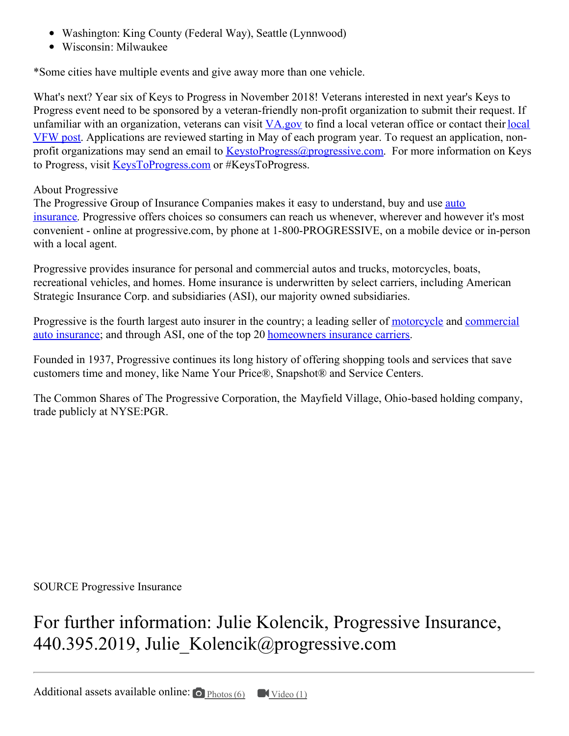- Washington: King County (Federal Way), Seattle (Lynnwood)
- Wisconsin: Milwaukee

\*Some cities have multiple events and give away more than one vehicle.

What's next? Year six of Keys to Progress in November 2018! Veterans interested in next year's Keys to Progress event need to be sponsored by a veteran-friendly non-profit organization to submit their request. If unfamiliar with an [organization,](https://www.vfw.org/oms/findpost.aspx) veterans can visit [VA.gov](http://www.va.gov/) to find a local veteran office or contact their local VFW post. Applications are reviewed starting in May of each program year. To request an application, nonprofit organizations may send an email to KeystoProgress $@$ progressive.com. For more information on Keys to Progress, visit [KeysToProgress.com](https://www.progressive.com/socialresponsibility/keys-to-progress.html) or #KeysToProgress.

## About Progressive

The [Progressive](https://www.progressive.com/auto/) Group of Insurance Companies makes it easy to understand, buy and use auto insurance. Progressive offers choices so consumers can reach us whenever, wherever and however it's most convenient - online at progressive.com, by phone at 1-800-PROGRESSIVE, on a mobile device or in-person with a local agent.

Progressive provides insurance for personal and commercial autos and trucks, motorcycles, boats, recreational vehicles, and homes. Home insurance is underwritten by select carriers, including American Strategic Insurance Corp. and subsidiaries (ASI), our majority owned subsidiaries.

Progressive is the fourth largest auto insurer in the country; a leading seller of [motorcycle](https://www.progressive.com/motorcycle/) and commercial auto insurance; and through ASI, one of the top 20 [homeowners](https://www.progressivecommercial.com/) insurance carriers.

Founded in 1937, Progressive continues its long history of offering shopping tools and services that save customers time and money, like Name Your Price®, Snapshot® and Service Centers.

The Common Shares of The Progressive Corporation, the Mayfield Village, Ohio-based holding company, trade publicly at NYSE:PGR.

SOURCE Progressive Insurance

For further information: Julie Kolencik, Progressive Insurance, 440.395.2019, Julie Kolencik@progressive.com